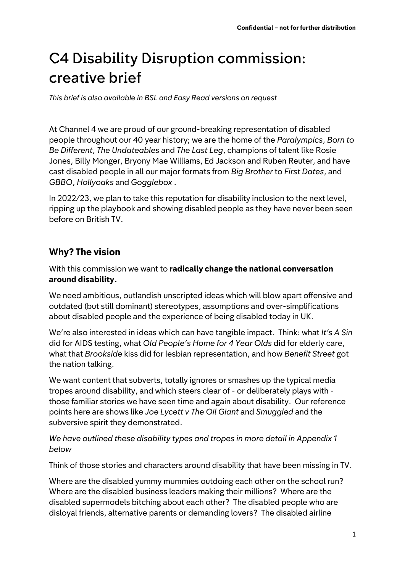# C4 Disability Disruption commission: creative brief

*This brief is also available in BSL and Easy Read versions on request*

At Channel 4 we are proud of our ground-breaking representation of disabled people throughout our 40 year history; we are the home of the *Paralympics*, *Born to Be Different*, *The Undateables* and *The Last Leg*, champions of talent like Rosie Jones, Billy Monger, Bryony Mae Williams, Ed Jackson and Ruben Reuter, and have cast disabled people in all our major formats from *Big Brother* to *First Dates*, and *GBBO*, *Hollyoaks* and *Gogglebox* .

In 2022/23, we plan to take this reputation for disability inclusion to the next level, ripping up the playbook and showing disabled people as they have never been seen before on British TV.

#### **Why? The vision**

With this commission we want to **radically change the national conversation around disability.**

We need ambitious, outlandish unscripted ideas which will blow apart offensive and outdated (but still dominant) stereotypes, assumptions and over-simplifications about disabled people and the experience of being disabled today in UK.

We're also interested in ideas which can have tangible impact. Think: what *It's A Sin* did for AIDS testing, what *Old People's Home for 4 Year Olds* did for elderly care, what that *Brookside* kiss did for lesbian representation, and how *Benefit Street* got the nation talking.

We want content that subverts, totally ignores or smashes up the typical media tropes around disability, and which steers clear of - or deliberately plays with those familiar stories we have seen time and again about disability. Our reference points here are shows like *Joe Lycett v The Oil Giant* and *Smuggled* and the subversive spirit they demonstrated.

*We have outlined these disability types and tropes in more detail in Appendix 1 below*

Think of those stories and characters around disability that have been missing in TV.

Where are the disabled yummy mummies outdoing each other on the school run? Where are the disabled business leaders making their millions? Where are the disabled supermodels bitching about each other? The disabled people who are disloyal friends, alternative parents or demanding lovers? The disabled airline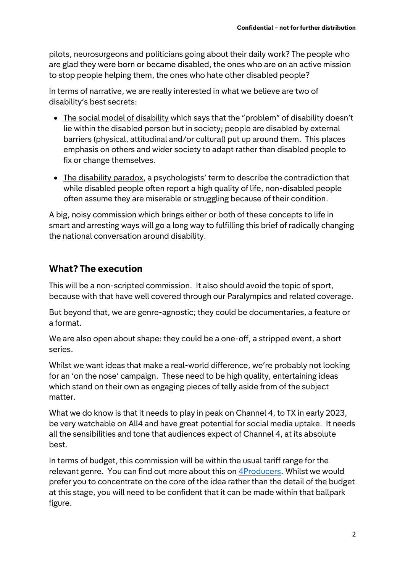pilots, neurosurgeons and politicians going about their daily work? The people who are glad they were born or became disabled, the ones who are on an active mission to stop people helping them, the ones who hate other disabled people?

In terms of narrative, we are really interested in what we believe are two of disability's best secrets:

- The social model of disability which says that the "problem" of disability doesn't lie within the disabled person but in society; people are disabled by external barriers (physical, attitudinal and/or cultural) put up around them. This places emphasis on others and wider society to adapt rather than disabled people to fix or change themselves.
- The disability paradox, a psychologists' term to describe the contradiction that while disabled people often report a high quality of life, non-disabled people often assume they are miserable or struggling because of their condition.

A big, noisy commission which brings either or both of these concepts to life in smart and arresting ways will go a long way to fulfilling this brief of radically changing the national conversation around disability.

# **What? The execution**

This will be a non-scripted commission. It also should avoid the topic of sport, because with that have well covered through our Paralympics and related coverage.

But beyond that, we are genre-agnostic; they could be documentaries, a feature or a format.

We are also open about shape: they could be a one-off, a stripped event, a short series.

Whilst we want ideas that make a real-world difference, we're probably not looking for an 'on the nose' campaign. These need to be high quality, entertaining ideas which stand on their own as engaging pieces of telly aside from of the subject matter.

What we do know is that it needs to play in peak on Channel 4, to TX in early 2023, be very watchable on All4 and have great potential for social media uptake. It needs all the sensibilities and tone that audiences expect of Channel 4, at its absolute best.

In terms of budget, this commission will be within the usual tariff range for the relevant genre. You can find out more about this on [4Producers.](https://www.channel4.com/commissioning/4producers/creative-diversity) Whilst we would prefer you to concentrate on the core of the idea rather than the detail of the budget at this stage, you will need to be confident that it can be made within that ballpark figure.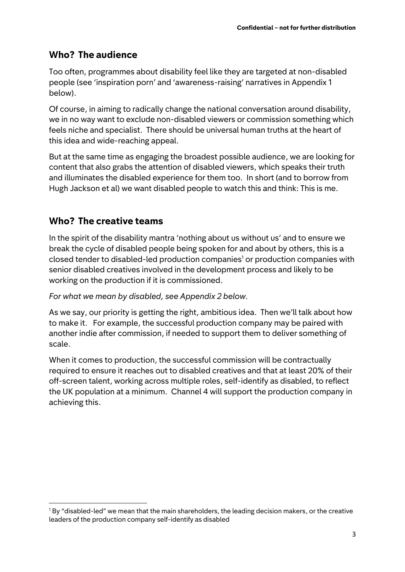## **Who? The audience**

Too often, programmes about disability feel like they are targeted at non-disabled people (see 'inspiration porn' and 'awareness-raising' narratives in Appendix 1 below).

Of course, in aiming to radically change the national conversation around disability, we in no way want to exclude non-disabled viewers or commission something which feels niche and specialist. There should be universal human truths at the heart of this idea and wide-reaching appeal.

But at the same time as engaging the broadest possible audience, we are looking for content that also grabs the attention of disabled viewers, which speaks their truth and illuminates the disabled experience for them too. In short (and to borrow from Hugh Jackson et al) we want disabled people to watch this and think: This is me.

## **Who? The creative teams**

In the spirit of the disability mantra 'nothing about us without us' and to ensure we break the cycle of disabled people being spoken for and about by others, this is a closed tender to disabled-led production companies<sup>1</sup> or production companies with senior disabled creatives involved in the development process and likely to be working on the production if it is commissioned.

#### *For what we mean by disabled, see Appendix 2 below.*

As we say, our priority is getting the right, ambitious idea. Then we'll talk about how to make it. For example, the successful production company may be paired with another indie after commission, if needed to support them to deliver something of scale.

When it comes to production, the successful commission will be contractually required to ensure it reaches out to disabled creatives and that at least 20% of their off-screen talent, working across multiple roles, self-identify as disabled, to reflect the UK population at a minimum. Channel 4 will support the production company in achieving this.

 $18y$  "disabled-led" we mean that the main shareholders, the leading decision makers, or the creative leaders of the production company self-identify as disabled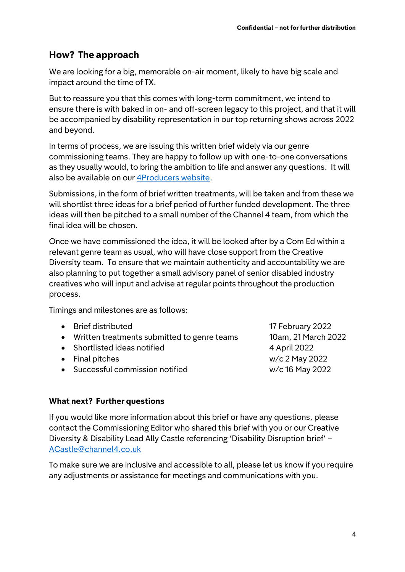## **How? The approach**

We are looking for a big, memorable on-air moment, likely to have big scale and impact around the time of TX.

But to reassure you that this comes with long-term commitment, we intend to ensure there is with baked in on- and off-screen legacy to this project, and that it will be accompanied by disability representation in our top returning shows across 2022 and beyond.

In terms of process, we are issuing this written brief widely via our genre commissioning teams. They are happy to follow up with one-to-one conversations as they usually would, to bring the ambition to life and answer any questions. It will also be available on our [4Producers website.](https://www.channel4.com/commissioning/4producers/creative-diversity)

Submissions, in the form of brief written treatments, will be taken and from these we will shortlist three ideas for a brief period of further funded development. The three ideas will then be pitched to a small number of the Channel 4 team, from which the final idea will be chosen.

Once we have commissioned the idea, it will be looked after by a Com Ed within a relevant genre team as usual, who will have close support from the Creative Diversity team. To ensure that we maintain authenticity and accountability we are also planning to put together a small advisory panel of senior disabled industry creatives who will input and advise at regular points throughout the production process.

Timings and milestones are as follows:

| • Brief distributed                           | 17 February 2022    |
|-----------------------------------------------|---------------------|
| • Written treatments submitted to genre teams | 10am, 21 March 2022 |
| • Shortlisted ideas notified                  | 4 April 2022        |
| • Final pitches                               | w/c 2 May 2022      |
| • Successful commission notified              | w/c 16 May 2022     |

#### **What next? Further questions**

If you would like more information about this brief or have any questions, please contact the Commissioning Editor who shared this brief with you or our Creative Diversity & Disability Lead Ally Castle referencing 'Disability Disruption brief' – [ACastle@channel4.co.uk](mailto:ACastle@channel4.co.uk)

To make sure we are inclusive and accessible to all, please let us know if you require any adjustments or assistance for meetings and communications with you.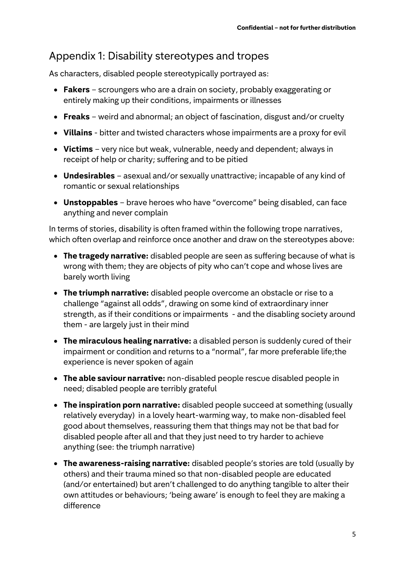# Appendix 1: Disability stereotypes and tropes

As characters, disabled people stereotypically portrayed as:

- **Fakers** scroungers who are a drain on society, probably exaggerating or entirely making up their conditions, impairments or illnesses
- **Freaks** weird and abnormal; an object of fascination, disgust and/or cruelty
- **Villains** bitter and twisted characters whose impairments are a proxy for evil
- **Victims** very nice but weak, vulnerable, needy and dependent; always in receipt of help or charity; suffering and to be pitied
- **Undesirables** asexual and/or sexually unattractive; incapable of any kind of romantic or sexual relationships
- **Unstoppables** brave heroes who have "overcome" being disabled, can face anything and never complain

In terms of stories, disability is often framed within the following trope narratives, which often overlap and reinforce once another and draw on the stereotypes above:

- **The tragedy narrative:** disabled people are seen as suffering because of what is wrong with them; they are objects of pity who can't cope and whose lives are barely worth living
- **The triumph narrative:** disabled people overcome an obstacle or rise to a challenge "against all odds", drawing on some kind of extraordinary inner strength, as if their conditions or impairments - and the disabling society around them - are largely just in their mind
- **The miraculous healing narrative:** a disabled person is suddenly cured of their impairment or condition and returns to a "normal", far more preferable life;the experience is never spoken of again
- **The able saviour narrative:** non-disabled people rescue disabled people in need; disabled people are terribly grateful
- **The inspiration porn narrative:** disabled people succeed at something (usually relatively everyday) in a lovely heart-warming way, to make non-disabled feel good about themselves, reassuring them that things may not be that bad for disabled people after all and that they just need to try harder to achieve anything (see: the triumph narrative)
- **The awareness-raising narrative:** disabled people's stories are told (usually by others) and their trauma mined so that non-disabled people are educated (and/or entertained) but aren't challenged to do anything tangible to alter their own attitudes or behaviours; 'being aware' is enough to feel they are making a difference